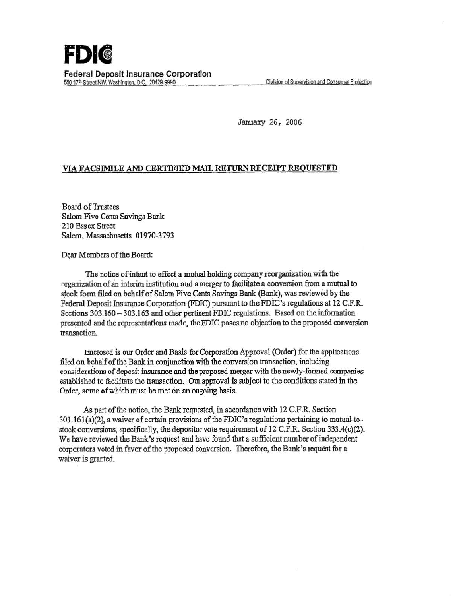## **FDII**  Federal Deposit Insurance Corporation 550 17<sup>th</sup> Street NW, Washington, D.C. 20429-9990 Division of Supervision and Consumer Protection

January 26, 2006

## VIA FACSIMILE AND CERTIFIED MAIL RETURN RECEIPT REQUESTED

**Board of Trustees** Salem Five Cents Savings Bank 210 Essex Street Salem, Massachusetts 01970-3793

Dear Members of the Board:

The notice of intent to effect a mutual holding company reorganization with the organization of an interim institution and a merger to facilitate a conversioa from a mutual to stock form filed on behalf of Salem Five Cents Savings Bank (Bank), was reviewed by the Federal Deposit Insurance Corporation (FDIC) pursuant to the FDIC's regulations at 12 C.F.R. Sections 303.160 - 303.163 and other pertinent FDIC regulations. Based on the information presented and the representations made, the FDIC poses no objection to the proposed conversion transaction.

.bnclosed is our Order and Basis for Corporation Approval (Order) for the applications filed on behalf of the Bank in conjunction with the conversion transaction, including considerations of deposit insurance and the proposed merger with the newly-formed companies established to facilitate the transaction. Our. approval is subject to the conditions stated in the Order, some of which must be met on an ongoing basis.

As part of the notice, the Bank requested, in accordance with 12 C.F.R. Section 303.161(a)(2), a waiver of certain provisions of the FDIC's regulations pertaining to mutual-tostock conversions, specifically, the depositor vote requirement of 12 C.F.R. Section 333.4(c)(2). We have reviewed the Bank's request and have found that a sufficient number of independent corporators voted in favor of the proposed conversion. Therefore, the Bank's request for a waiver is granted.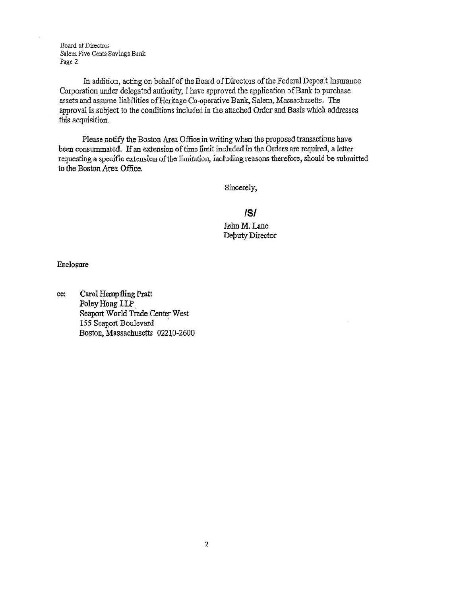Board ofDirectors Salem Five Cents Savings Bank Page 2

In addition, acting on behalf of the Board of Directors of the Federal Deposit Insurance Corporation under delegated authority, I have approved the application of Bank to purchase assets and assume liabilities of Heritage Co-operative Bank, Salem, Massachusetts. The approval is subject to the conditions included in the attached Order and Basis which addresses this acquisition.

Please notify the Boston Area Office in writing when the proposed transactions have been conswnmated. If an extension of time limit included in the Orders are required, a letter requesting a specific extension of the limitation, including reasons therefore, should be submitted to the Boston Area Office.

Sincerely,

IS/ Jøhn M. Lane Debuty Director

Enclosure

cc: Carol Hempfling Pratt Foley Hoag LLP. Seaport World Trade Center West 155 Seaport Boulevard Boston, Massachusetts 02210-2600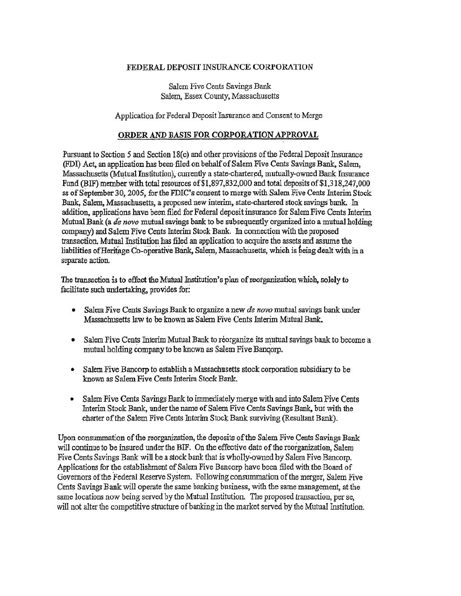## FEDERAL DEPOSIT INSURANCE CORPORATION

Salem Five Cents Savings Bank Salem, Essex County, Massachusetts

Application for Federal Deposit 1nsurance and Consent. *to* Merge

## ORDER AND BASIS FOR CORPORATION APPROVAL

Pursuant to Section 5 and Section 18(c) and other provisions of the Federal Deposit Insurance (FDI) Act. an application has been· filed on behalf of Salem Five Cents Savings Bank. Salem, Massachusetts (Mutual Institution), currently a state-chartered, mutually-owned Bank Insurance Fund (BIF) member with total resources of\$1,897 ,832,000 and total deposits of \$1,318,247,000 as of September 30, 2005, for the FDIC's consent to merge with Salem Five Cents Interim Stock Bank, Salem, Massachusetts, a proposed new interim, state-chartered stock savings bank. In addition, applications have been filed for Federal deposit insurance for Salem Five Cents Interim Mutual Bank (a de *nuvo* mutual savings bank to be subsequently organized into a mutual holding company) and Salem Five Cents Interim Stock Bank. In connection with the proposed transaction. Mutual Institution has filed an application to acquire the assets and assume the liabilities of Heritage Co-operative Bank, Salem, Massachusetts, which is being dealt with in a separate action.

The transaction is to effect the Mutual Institution's plan of reorganization which, solely to facilitate such undertaking, provides for:

- Salem Five Cents Savings Bank to organize a new *de novo* mutual savings bank under Massachusetts law to be known as Salem Five Cents Interim Mutual Bank.
- Salem Five Cents Interim Mutual Bank to reorganize its mutual savings bank to become a mutual holding company to be known as Salem Five Bancorp.
- Salem Five Bancorp to establish a Massachusetts stock corporation subsidiary to be known as Salem Five Cents Interim Stock Bank.
- Salem Five Cents Savings Bank to immediately merge with and into Salem Five Cents Interim Stock Bank, under the name of Salem Five Cents Savings Bank, but with the charter of the Salem Five Cents Interim Stock Bank surviving (Resultant Bank).

Upon consummation of the reorganization, the deposits of the Salem Five Cents Savings Bank will continue to be insured under the BIF. On the effective date of the reorganization, Salem Five Cents Savings Bank will be a stock bank that is wholly~owned by Salem Five Bancorp. Applications for the establishment of Salem Five Bancorp have been filed with the Board of Governors of the Federal Reserve System. Following consummation of the merger, Salem Five Cents Savings Bank will operate the same banking business, with the same management, at-the same locations now being served by the Mutual Institution. The proposed transaction, per se, will not alter the competitive structure of banking in the market served by the Mutual Institution.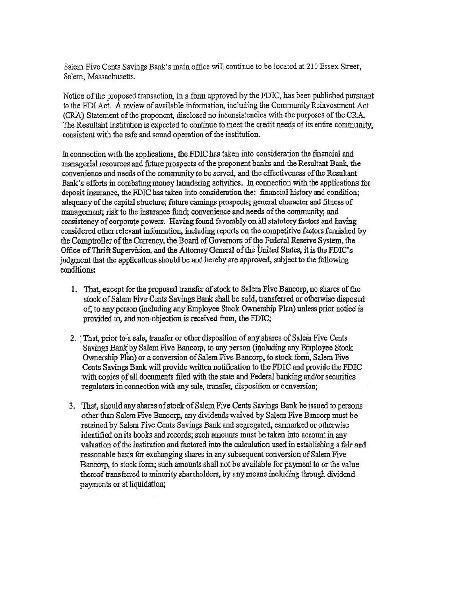Salem Five Cents Savings Bank's main office will continue to be located at 210 Essex Street, Salem, Massachusetts.

Notice of the proposed transaction, in a fonn approved by the FDIC, has been published pursuant to the FDI Act. A review of available information, including the Community Reinvestment Act (CRA) Statement of the proponent, disclosed no inconsistencies with the purposes of the CRA. The Resultant Institution is expected to continue to meet the credit needs of its entire community, consistent with the safe and sound operation of the institution.

In connection with the applications, the FDIC has taken into consideration the financial and managerial resources and future prospects of the proponent banks and the Resultant Bank, the convenience and needs of the community to be served, and the effectiveness of the Resultant Bank's efforts in combating money laundering activities. In connection with the applications for deposit insurance, the FDIC has taken into consideration the: financial history and condition; adequacy of the capital structure; future earnings prospects; general character and fitness of management; risk to the insurance fund; convenience and needs of the community; and consistency of corporate powers. Having found favorably on all statutory factors and having considered other relevant information, including reports on the competitive factors furnished by the Comptroller of the Currency, the Board of Governors of the Fedetal Reserve System, the Office of Thrift Supervision, and the Attomey General of the United States, it is the FDIC's judgment that the applications should be and hereby are approved, subject to the following conditions:

- 1. That, except for the proposed transfer of stock to Salem Five Bancorp, no shares of the stock of Salem Five Cents Savings Bank shall be sold, transferred or otherwise disposed of, to any person (including any Employee Stock Ownership Plan) unless prior notice is provided to, and non-objection is received from, the FDIC;
- 2. That, prior to a sale, transfer or other disposition of any shares of Salem Five Cents Savings Bank by Salem Five Bancorp, to any person (including any Employee Stock Ownership Plan) or a conversion of Salem Five Bancorp, to stock form, Salem Five Cents Savings Bank will provide written notification to the FDIC and provide the FDIC with copies of all documents filed with the state and Federal banking and/or securities regulators in connection with any sale, transfer, disposition or conversion;
- 3. That, should any shares of stock of Salem Five Cents Savings Bank be issued to persons other than Salem Five Bancorp, any dividends waived by Salem Five Bancorp must be retained by Salem Five Cents Savings Bank and segregated, eannarked or otherwise identified on its books and records; such amounts must be taken into account in any valuation of the institution and factored into the calculation used in establishing a fair and reasonable basis for exchanging shares in any subsequent conversion of Salem Five Bancorp, to stock form; such amounts shall not be available for payment to or the value thereof transferred to minority shareholders, by any means including through dividend payments or at liquidation;